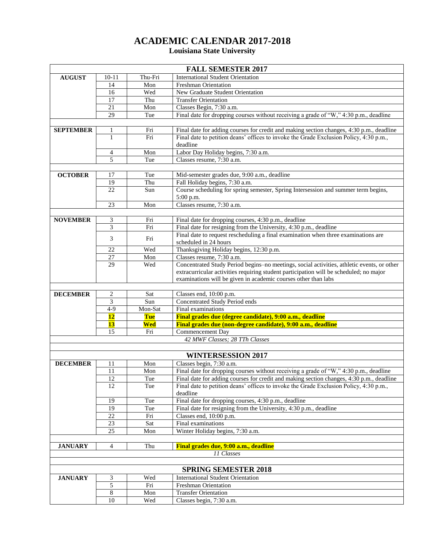## **ACADEMIC CALENDAR 2017-2018**

## **Louisiana State University**

| <b>International Student Orientation</b><br><b>AUGUST</b><br>$10 - 11$<br>Thu-Fri<br>14<br>Mon<br><b>Freshman Orientation</b><br>16<br>Wed<br>New Graduate Student Orientation<br>17<br>Thu<br><b>Transfer Orientation</b><br>21<br>Classes Begin, 7:30 a.m.<br>Mon<br>Final date for dropping courses without receiving a grade of "W," 4:30 p.m., deadline<br>29<br>Tue<br><b>SEPTEMBER</b><br>Final date for adding courses for credit and making section changes, 4:30 p.m., deadline<br>1<br>Fri<br>Fri<br>$\mathbf{1}$<br>Final date to petition deans' offices to invoke the Grade Exclusion Policy, 4:30 p.m.,<br>deadline<br>Labor Day Holiday begins, 7:30 a.m.<br>Mon<br>4<br>5<br>Classes resume, 7:30 a.m.<br>Tue<br><b>OCTOBER</b><br>17<br>Tue<br>Mid-semester grades due, 9:00 a.m., deadline<br>Fall Holiday begins, 7:30 a.m.<br>19<br>Thu<br>Course scheduling for spring semester, Spring Intersession and summer term begins,<br>22<br>Sun<br>5:00 p.m.<br>Classes resume, 7:30 a.m.<br>23<br>Mon<br><b>NOVEMBER</b><br>3<br>Final date for dropping courses, 4:30 p.m., deadline<br>Fri<br>$\overline{\mathbf{3}}$<br>Final date for resigning from the University, 4:30 p.m., deadline<br>Fri<br>Final date to request rescheduling a final examination when three examinations are<br>3<br>Fri<br>scheduled in 24 hours<br>Thanksgiving Holiday begins, 12:30 p.m.<br>22<br>Wed<br>27<br>Classes resume, 7:30 a.m.<br>Mon<br>Concentrated Study Period begins-no meetings, social activities, athletic events, or other<br>29<br>Wed<br>extracurricular activities requiring student participation will be scheduled; no major<br>examinations will be given in academic courses other than labs<br><b>DECEMBER</b><br>2<br>Sat<br>Classes end, 10:00 p.m.<br>3<br>Concentrated Study Period ends<br>Sun<br>$4 - 9$<br>Mon-Sat<br>Final examinations<br>12<br>Final grades due (degree candidate), 9:00 a.m., deadline<br>Tue<br>13<br>Wed<br>Final grades due (non-degree candidate), 9:00 a.m., deadline<br>Commencement Day<br>15<br>Fri<br>42 MWF Classes; 28 TTh Classes<br><b>WINTERSESSION 2017</b><br>Mon<br>Classes begin, 7:30 a.m.<br><b>DECEMBER</b><br>11<br>Final date for dropping courses without receiving a grade of "W," 4:30 p.m., deadline<br>11<br>Mon<br>Final date for adding courses for credit and making section changes, 4:30 p.m., deadline<br>12<br>Tue<br>Final date to petition deans' offices to invoke the Grade Exclusion Policy, 4:30 p.m.,<br>12<br>Tue<br>deadline<br>Final date for dropping courses, 4:30 p.m., deadline<br>Tue<br>19<br>19<br>Final date for resigning from the University, 4:30 p.m., deadline<br>Tue<br>22<br>Classes end, 10:00 p.m.<br>Fri<br>Final examinations<br>23<br>Sat<br>25<br>Winter Holiday begins, 7:30 a.m.<br>Mon<br>Thu<br><b>JANUARY</b><br>4<br>Final grades due, 9:00 a.m., deadline<br>11 Classes<br><b>SPRING SEMESTER 2018</b><br><b>JANUARY</b><br><b>International Student Orientation</b><br>3<br>Wed<br>5<br>Fri<br>Freshman Orientation<br>$\,8$<br><b>Transfer Orientation</b><br>Mon<br>10<br>Classes begin, 7:30 a.m.<br>Wed | <b>FALL SEMESTER 2017</b> |  |  |  |  |  |
|-----------------------------------------------------------------------------------------------------------------------------------------------------------------------------------------------------------------------------------------------------------------------------------------------------------------------------------------------------------------------------------------------------------------------------------------------------------------------------------------------------------------------------------------------------------------------------------------------------------------------------------------------------------------------------------------------------------------------------------------------------------------------------------------------------------------------------------------------------------------------------------------------------------------------------------------------------------------------------------------------------------------------------------------------------------------------------------------------------------------------------------------------------------------------------------------------------------------------------------------------------------------------------------------------------------------------------------------------------------------------------------------------------------------------------------------------------------------------------------------------------------------------------------------------------------------------------------------------------------------------------------------------------------------------------------------------------------------------------------------------------------------------------------------------------------------------------------------------------------------------------------------------------------------------------------------------------------------------------------------------------------------------------------------------------------------------------------------------------------------------------------------------------------------------------------------------------------------------------------------------------------------------------------------------------------------------------------------------------------------------------------------------------------------------------------------------------------------------------------------------------------------------------------------------------------------------------------------------------------------------------------------------------------------------------------------------------------------------------------------------------------------------------------------------------------------------------------------------------------------------------------------------------------------------------------------------------------------------------------------------------------------------------------------------------------------------------------------------------------------------------------------------|---------------------------|--|--|--|--|--|
|                                                                                                                                                                                                                                                                                                                                                                                                                                                                                                                                                                                                                                                                                                                                                                                                                                                                                                                                                                                                                                                                                                                                                                                                                                                                                                                                                                                                                                                                                                                                                                                                                                                                                                                                                                                                                                                                                                                                                                                                                                                                                                                                                                                                                                                                                                                                                                                                                                                                                                                                                                                                                                                                                                                                                                                                                                                                                                                                                                                                                                                                                                                                               |                           |  |  |  |  |  |
|                                                                                                                                                                                                                                                                                                                                                                                                                                                                                                                                                                                                                                                                                                                                                                                                                                                                                                                                                                                                                                                                                                                                                                                                                                                                                                                                                                                                                                                                                                                                                                                                                                                                                                                                                                                                                                                                                                                                                                                                                                                                                                                                                                                                                                                                                                                                                                                                                                                                                                                                                                                                                                                                                                                                                                                                                                                                                                                                                                                                                                                                                                                                               |                           |  |  |  |  |  |
|                                                                                                                                                                                                                                                                                                                                                                                                                                                                                                                                                                                                                                                                                                                                                                                                                                                                                                                                                                                                                                                                                                                                                                                                                                                                                                                                                                                                                                                                                                                                                                                                                                                                                                                                                                                                                                                                                                                                                                                                                                                                                                                                                                                                                                                                                                                                                                                                                                                                                                                                                                                                                                                                                                                                                                                                                                                                                                                                                                                                                                                                                                                                               |                           |  |  |  |  |  |
|                                                                                                                                                                                                                                                                                                                                                                                                                                                                                                                                                                                                                                                                                                                                                                                                                                                                                                                                                                                                                                                                                                                                                                                                                                                                                                                                                                                                                                                                                                                                                                                                                                                                                                                                                                                                                                                                                                                                                                                                                                                                                                                                                                                                                                                                                                                                                                                                                                                                                                                                                                                                                                                                                                                                                                                                                                                                                                                                                                                                                                                                                                                                               |                           |  |  |  |  |  |
|                                                                                                                                                                                                                                                                                                                                                                                                                                                                                                                                                                                                                                                                                                                                                                                                                                                                                                                                                                                                                                                                                                                                                                                                                                                                                                                                                                                                                                                                                                                                                                                                                                                                                                                                                                                                                                                                                                                                                                                                                                                                                                                                                                                                                                                                                                                                                                                                                                                                                                                                                                                                                                                                                                                                                                                                                                                                                                                                                                                                                                                                                                                                               |                           |  |  |  |  |  |
|                                                                                                                                                                                                                                                                                                                                                                                                                                                                                                                                                                                                                                                                                                                                                                                                                                                                                                                                                                                                                                                                                                                                                                                                                                                                                                                                                                                                                                                                                                                                                                                                                                                                                                                                                                                                                                                                                                                                                                                                                                                                                                                                                                                                                                                                                                                                                                                                                                                                                                                                                                                                                                                                                                                                                                                                                                                                                                                                                                                                                                                                                                                                               |                           |  |  |  |  |  |
|                                                                                                                                                                                                                                                                                                                                                                                                                                                                                                                                                                                                                                                                                                                                                                                                                                                                                                                                                                                                                                                                                                                                                                                                                                                                                                                                                                                                                                                                                                                                                                                                                                                                                                                                                                                                                                                                                                                                                                                                                                                                                                                                                                                                                                                                                                                                                                                                                                                                                                                                                                                                                                                                                                                                                                                                                                                                                                                                                                                                                                                                                                                                               |                           |  |  |  |  |  |
|                                                                                                                                                                                                                                                                                                                                                                                                                                                                                                                                                                                                                                                                                                                                                                                                                                                                                                                                                                                                                                                                                                                                                                                                                                                                                                                                                                                                                                                                                                                                                                                                                                                                                                                                                                                                                                                                                                                                                                                                                                                                                                                                                                                                                                                                                                                                                                                                                                                                                                                                                                                                                                                                                                                                                                                                                                                                                                                                                                                                                                                                                                                                               |                           |  |  |  |  |  |
|                                                                                                                                                                                                                                                                                                                                                                                                                                                                                                                                                                                                                                                                                                                                                                                                                                                                                                                                                                                                                                                                                                                                                                                                                                                                                                                                                                                                                                                                                                                                                                                                                                                                                                                                                                                                                                                                                                                                                                                                                                                                                                                                                                                                                                                                                                                                                                                                                                                                                                                                                                                                                                                                                                                                                                                                                                                                                                                                                                                                                                                                                                                                               |                           |  |  |  |  |  |
|                                                                                                                                                                                                                                                                                                                                                                                                                                                                                                                                                                                                                                                                                                                                                                                                                                                                                                                                                                                                                                                                                                                                                                                                                                                                                                                                                                                                                                                                                                                                                                                                                                                                                                                                                                                                                                                                                                                                                                                                                                                                                                                                                                                                                                                                                                                                                                                                                                                                                                                                                                                                                                                                                                                                                                                                                                                                                                                                                                                                                                                                                                                                               |                           |  |  |  |  |  |
|                                                                                                                                                                                                                                                                                                                                                                                                                                                                                                                                                                                                                                                                                                                                                                                                                                                                                                                                                                                                                                                                                                                                                                                                                                                                                                                                                                                                                                                                                                                                                                                                                                                                                                                                                                                                                                                                                                                                                                                                                                                                                                                                                                                                                                                                                                                                                                                                                                                                                                                                                                                                                                                                                                                                                                                                                                                                                                                                                                                                                                                                                                                                               |                           |  |  |  |  |  |
|                                                                                                                                                                                                                                                                                                                                                                                                                                                                                                                                                                                                                                                                                                                                                                                                                                                                                                                                                                                                                                                                                                                                                                                                                                                                                                                                                                                                                                                                                                                                                                                                                                                                                                                                                                                                                                                                                                                                                                                                                                                                                                                                                                                                                                                                                                                                                                                                                                                                                                                                                                                                                                                                                                                                                                                                                                                                                                                                                                                                                                                                                                                                               |                           |  |  |  |  |  |
|                                                                                                                                                                                                                                                                                                                                                                                                                                                                                                                                                                                                                                                                                                                                                                                                                                                                                                                                                                                                                                                                                                                                                                                                                                                                                                                                                                                                                                                                                                                                                                                                                                                                                                                                                                                                                                                                                                                                                                                                                                                                                                                                                                                                                                                                                                                                                                                                                                                                                                                                                                                                                                                                                                                                                                                                                                                                                                                                                                                                                                                                                                                                               |                           |  |  |  |  |  |
|                                                                                                                                                                                                                                                                                                                                                                                                                                                                                                                                                                                                                                                                                                                                                                                                                                                                                                                                                                                                                                                                                                                                                                                                                                                                                                                                                                                                                                                                                                                                                                                                                                                                                                                                                                                                                                                                                                                                                                                                                                                                                                                                                                                                                                                                                                                                                                                                                                                                                                                                                                                                                                                                                                                                                                                                                                                                                                                                                                                                                                                                                                                                               |                           |  |  |  |  |  |
|                                                                                                                                                                                                                                                                                                                                                                                                                                                                                                                                                                                                                                                                                                                                                                                                                                                                                                                                                                                                                                                                                                                                                                                                                                                                                                                                                                                                                                                                                                                                                                                                                                                                                                                                                                                                                                                                                                                                                                                                                                                                                                                                                                                                                                                                                                                                                                                                                                                                                                                                                                                                                                                                                                                                                                                                                                                                                                                                                                                                                                                                                                                                               |                           |  |  |  |  |  |
|                                                                                                                                                                                                                                                                                                                                                                                                                                                                                                                                                                                                                                                                                                                                                                                                                                                                                                                                                                                                                                                                                                                                                                                                                                                                                                                                                                                                                                                                                                                                                                                                                                                                                                                                                                                                                                                                                                                                                                                                                                                                                                                                                                                                                                                                                                                                                                                                                                                                                                                                                                                                                                                                                                                                                                                                                                                                                                                                                                                                                                                                                                                                               |                           |  |  |  |  |  |
|                                                                                                                                                                                                                                                                                                                                                                                                                                                                                                                                                                                                                                                                                                                                                                                                                                                                                                                                                                                                                                                                                                                                                                                                                                                                                                                                                                                                                                                                                                                                                                                                                                                                                                                                                                                                                                                                                                                                                                                                                                                                                                                                                                                                                                                                                                                                                                                                                                                                                                                                                                                                                                                                                                                                                                                                                                                                                                                                                                                                                                                                                                                                               |                           |  |  |  |  |  |
|                                                                                                                                                                                                                                                                                                                                                                                                                                                                                                                                                                                                                                                                                                                                                                                                                                                                                                                                                                                                                                                                                                                                                                                                                                                                                                                                                                                                                                                                                                                                                                                                                                                                                                                                                                                                                                                                                                                                                                                                                                                                                                                                                                                                                                                                                                                                                                                                                                                                                                                                                                                                                                                                                                                                                                                                                                                                                                                                                                                                                                                                                                                                               |                           |  |  |  |  |  |
|                                                                                                                                                                                                                                                                                                                                                                                                                                                                                                                                                                                                                                                                                                                                                                                                                                                                                                                                                                                                                                                                                                                                                                                                                                                                                                                                                                                                                                                                                                                                                                                                                                                                                                                                                                                                                                                                                                                                                                                                                                                                                                                                                                                                                                                                                                                                                                                                                                                                                                                                                                                                                                                                                                                                                                                                                                                                                                                                                                                                                                                                                                                                               |                           |  |  |  |  |  |
|                                                                                                                                                                                                                                                                                                                                                                                                                                                                                                                                                                                                                                                                                                                                                                                                                                                                                                                                                                                                                                                                                                                                                                                                                                                                                                                                                                                                                                                                                                                                                                                                                                                                                                                                                                                                                                                                                                                                                                                                                                                                                                                                                                                                                                                                                                                                                                                                                                                                                                                                                                                                                                                                                                                                                                                                                                                                                                                                                                                                                                                                                                                                               |                           |  |  |  |  |  |
|                                                                                                                                                                                                                                                                                                                                                                                                                                                                                                                                                                                                                                                                                                                                                                                                                                                                                                                                                                                                                                                                                                                                                                                                                                                                                                                                                                                                                                                                                                                                                                                                                                                                                                                                                                                                                                                                                                                                                                                                                                                                                                                                                                                                                                                                                                                                                                                                                                                                                                                                                                                                                                                                                                                                                                                                                                                                                                                                                                                                                                                                                                                                               |                           |  |  |  |  |  |
|                                                                                                                                                                                                                                                                                                                                                                                                                                                                                                                                                                                                                                                                                                                                                                                                                                                                                                                                                                                                                                                                                                                                                                                                                                                                                                                                                                                                                                                                                                                                                                                                                                                                                                                                                                                                                                                                                                                                                                                                                                                                                                                                                                                                                                                                                                                                                                                                                                                                                                                                                                                                                                                                                                                                                                                                                                                                                                                                                                                                                                                                                                                                               |                           |  |  |  |  |  |
|                                                                                                                                                                                                                                                                                                                                                                                                                                                                                                                                                                                                                                                                                                                                                                                                                                                                                                                                                                                                                                                                                                                                                                                                                                                                                                                                                                                                                                                                                                                                                                                                                                                                                                                                                                                                                                                                                                                                                                                                                                                                                                                                                                                                                                                                                                                                                                                                                                                                                                                                                                                                                                                                                                                                                                                                                                                                                                                                                                                                                                                                                                                                               |                           |  |  |  |  |  |
|                                                                                                                                                                                                                                                                                                                                                                                                                                                                                                                                                                                                                                                                                                                                                                                                                                                                                                                                                                                                                                                                                                                                                                                                                                                                                                                                                                                                                                                                                                                                                                                                                                                                                                                                                                                                                                                                                                                                                                                                                                                                                                                                                                                                                                                                                                                                                                                                                                                                                                                                                                                                                                                                                                                                                                                                                                                                                                                                                                                                                                                                                                                                               |                           |  |  |  |  |  |
|                                                                                                                                                                                                                                                                                                                                                                                                                                                                                                                                                                                                                                                                                                                                                                                                                                                                                                                                                                                                                                                                                                                                                                                                                                                                                                                                                                                                                                                                                                                                                                                                                                                                                                                                                                                                                                                                                                                                                                                                                                                                                                                                                                                                                                                                                                                                                                                                                                                                                                                                                                                                                                                                                                                                                                                                                                                                                                                                                                                                                                                                                                                                               |                           |  |  |  |  |  |
|                                                                                                                                                                                                                                                                                                                                                                                                                                                                                                                                                                                                                                                                                                                                                                                                                                                                                                                                                                                                                                                                                                                                                                                                                                                                                                                                                                                                                                                                                                                                                                                                                                                                                                                                                                                                                                                                                                                                                                                                                                                                                                                                                                                                                                                                                                                                                                                                                                                                                                                                                                                                                                                                                                                                                                                                                                                                                                                                                                                                                                                                                                                                               |                           |  |  |  |  |  |
|                                                                                                                                                                                                                                                                                                                                                                                                                                                                                                                                                                                                                                                                                                                                                                                                                                                                                                                                                                                                                                                                                                                                                                                                                                                                                                                                                                                                                                                                                                                                                                                                                                                                                                                                                                                                                                                                                                                                                                                                                                                                                                                                                                                                                                                                                                                                                                                                                                                                                                                                                                                                                                                                                                                                                                                                                                                                                                                                                                                                                                                                                                                                               |                           |  |  |  |  |  |
|                                                                                                                                                                                                                                                                                                                                                                                                                                                                                                                                                                                                                                                                                                                                                                                                                                                                                                                                                                                                                                                                                                                                                                                                                                                                                                                                                                                                                                                                                                                                                                                                                                                                                                                                                                                                                                                                                                                                                                                                                                                                                                                                                                                                                                                                                                                                                                                                                                                                                                                                                                                                                                                                                                                                                                                                                                                                                                                                                                                                                                                                                                                                               |                           |  |  |  |  |  |
|                                                                                                                                                                                                                                                                                                                                                                                                                                                                                                                                                                                                                                                                                                                                                                                                                                                                                                                                                                                                                                                                                                                                                                                                                                                                                                                                                                                                                                                                                                                                                                                                                                                                                                                                                                                                                                                                                                                                                                                                                                                                                                                                                                                                                                                                                                                                                                                                                                                                                                                                                                                                                                                                                                                                                                                                                                                                                                                                                                                                                                                                                                                                               |                           |  |  |  |  |  |
|                                                                                                                                                                                                                                                                                                                                                                                                                                                                                                                                                                                                                                                                                                                                                                                                                                                                                                                                                                                                                                                                                                                                                                                                                                                                                                                                                                                                                                                                                                                                                                                                                                                                                                                                                                                                                                                                                                                                                                                                                                                                                                                                                                                                                                                                                                                                                                                                                                                                                                                                                                                                                                                                                                                                                                                                                                                                                                                                                                                                                                                                                                                                               |                           |  |  |  |  |  |
|                                                                                                                                                                                                                                                                                                                                                                                                                                                                                                                                                                                                                                                                                                                                                                                                                                                                                                                                                                                                                                                                                                                                                                                                                                                                                                                                                                                                                                                                                                                                                                                                                                                                                                                                                                                                                                                                                                                                                                                                                                                                                                                                                                                                                                                                                                                                                                                                                                                                                                                                                                                                                                                                                                                                                                                                                                                                                                                                                                                                                                                                                                                                               |                           |  |  |  |  |  |
|                                                                                                                                                                                                                                                                                                                                                                                                                                                                                                                                                                                                                                                                                                                                                                                                                                                                                                                                                                                                                                                                                                                                                                                                                                                                                                                                                                                                                                                                                                                                                                                                                                                                                                                                                                                                                                                                                                                                                                                                                                                                                                                                                                                                                                                                                                                                                                                                                                                                                                                                                                                                                                                                                                                                                                                                                                                                                                                                                                                                                                                                                                                                               |                           |  |  |  |  |  |
|                                                                                                                                                                                                                                                                                                                                                                                                                                                                                                                                                                                                                                                                                                                                                                                                                                                                                                                                                                                                                                                                                                                                                                                                                                                                                                                                                                                                                                                                                                                                                                                                                                                                                                                                                                                                                                                                                                                                                                                                                                                                                                                                                                                                                                                                                                                                                                                                                                                                                                                                                                                                                                                                                                                                                                                                                                                                                                                                                                                                                                                                                                                                               |                           |  |  |  |  |  |
|                                                                                                                                                                                                                                                                                                                                                                                                                                                                                                                                                                                                                                                                                                                                                                                                                                                                                                                                                                                                                                                                                                                                                                                                                                                                                                                                                                                                                                                                                                                                                                                                                                                                                                                                                                                                                                                                                                                                                                                                                                                                                                                                                                                                                                                                                                                                                                                                                                                                                                                                                                                                                                                                                                                                                                                                                                                                                                                                                                                                                                                                                                                                               |                           |  |  |  |  |  |
|                                                                                                                                                                                                                                                                                                                                                                                                                                                                                                                                                                                                                                                                                                                                                                                                                                                                                                                                                                                                                                                                                                                                                                                                                                                                                                                                                                                                                                                                                                                                                                                                                                                                                                                                                                                                                                                                                                                                                                                                                                                                                                                                                                                                                                                                                                                                                                                                                                                                                                                                                                                                                                                                                                                                                                                                                                                                                                                                                                                                                                                                                                                                               |                           |  |  |  |  |  |
|                                                                                                                                                                                                                                                                                                                                                                                                                                                                                                                                                                                                                                                                                                                                                                                                                                                                                                                                                                                                                                                                                                                                                                                                                                                                                                                                                                                                                                                                                                                                                                                                                                                                                                                                                                                                                                                                                                                                                                                                                                                                                                                                                                                                                                                                                                                                                                                                                                                                                                                                                                                                                                                                                                                                                                                                                                                                                                                                                                                                                                                                                                                                               |                           |  |  |  |  |  |
|                                                                                                                                                                                                                                                                                                                                                                                                                                                                                                                                                                                                                                                                                                                                                                                                                                                                                                                                                                                                                                                                                                                                                                                                                                                                                                                                                                                                                                                                                                                                                                                                                                                                                                                                                                                                                                                                                                                                                                                                                                                                                                                                                                                                                                                                                                                                                                                                                                                                                                                                                                                                                                                                                                                                                                                                                                                                                                                                                                                                                                                                                                                                               |                           |  |  |  |  |  |
|                                                                                                                                                                                                                                                                                                                                                                                                                                                                                                                                                                                                                                                                                                                                                                                                                                                                                                                                                                                                                                                                                                                                                                                                                                                                                                                                                                                                                                                                                                                                                                                                                                                                                                                                                                                                                                                                                                                                                                                                                                                                                                                                                                                                                                                                                                                                                                                                                                                                                                                                                                                                                                                                                                                                                                                                                                                                                                                                                                                                                                                                                                                                               |                           |  |  |  |  |  |
|                                                                                                                                                                                                                                                                                                                                                                                                                                                                                                                                                                                                                                                                                                                                                                                                                                                                                                                                                                                                                                                                                                                                                                                                                                                                                                                                                                                                                                                                                                                                                                                                                                                                                                                                                                                                                                                                                                                                                                                                                                                                                                                                                                                                                                                                                                                                                                                                                                                                                                                                                                                                                                                                                                                                                                                                                                                                                                                                                                                                                                                                                                                                               |                           |  |  |  |  |  |
|                                                                                                                                                                                                                                                                                                                                                                                                                                                                                                                                                                                                                                                                                                                                                                                                                                                                                                                                                                                                                                                                                                                                                                                                                                                                                                                                                                                                                                                                                                                                                                                                                                                                                                                                                                                                                                                                                                                                                                                                                                                                                                                                                                                                                                                                                                                                                                                                                                                                                                                                                                                                                                                                                                                                                                                                                                                                                                                                                                                                                                                                                                                                               |                           |  |  |  |  |  |
|                                                                                                                                                                                                                                                                                                                                                                                                                                                                                                                                                                                                                                                                                                                                                                                                                                                                                                                                                                                                                                                                                                                                                                                                                                                                                                                                                                                                                                                                                                                                                                                                                                                                                                                                                                                                                                                                                                                                                                                                                                                                                                                                                                                                                                                                                                                                                                                                                                                                                                                                                                                                                                                                                                                                                                                                                                                                                                                                                                                                                                                                                                                                               |                           |  |  |  |  |  |
|                                                                                                                                                                                                                                                                                                                                                                                                                                                                                                                                                                                                                                                                                                                                                                                                                                                                                                                                                                                                                                                                                                                                                                                                                                                                                                                                                                                                                                                                                                                                                                                                                                                                                                                                                                                                                                                                                                                                                                                                                                                                                                                                                                                                                                                                                                                                                                                                                                                                                                                                                                                                                                                                                                                                                                                                                                                                                                                                                                                                                                                                                                                                               |                           |  |  |  |  |  |
|                                                                                                                                                                                                                                                                                                                                                                                                                                                                                                                                                                                                                                                                                                                                                                                                                                                                                                                                                                                                                                                                                                                                                                                                                                                                                                                                                                                                                                                                                                                                                                                                                                                                                                                                                                                                                                                                                                                                                                                                                                                                                                                                                                                                                                                                                                                                                                                                                                                                                                                                                                                                                                                                                                                                                                                                                                                                                                                                                                                                                                                                                                                                               |                           |  |  |  |  |  |
|                                                                                                                                                                                                                                                                                                                                                                                                                                                                                                                                                                                                                                                                                                                                                                                                                                                                                                                                                                                                                                                                                                                                                                                                                                                                                                                                                                                                                                                                                                                                                                                                                                                                                                                                                                                                                                                                                                                                                                                                                                                                                                                                                                                                                                                                                                                                                                                                                                                                                                                                                                                                                                                                                                                                                                                                                                                                                                                                                                                                                                                                                                                                               |                           |  |  |  |  |  |
|                                                                                                                                                                                                                                                                                                                                                                                                                                                                                                                                                                                                                                                                                                                                                                                                                                                                                                                                                                                                                                                                                                                                                                                                                                                                                                                                                                                                                                                                                                                                                                                                                                                                                                                                                                                                                                                                                                                                                                                                                                                                                                                                                                                                                                                                                                                                                                                                                                                                                                                                                                                                                                                                                                                                                                                                                                                                                                                                                                                                                                                                                                                                               |                           |  |  |  |  |  |
|                                                                                                                                                                                                                                                                                                                                                                                                                                                                                                                                                                                                                                                                                                                                                                                                                                                                                                                                                                                                                                                                                                                                                                                                                                                                                                                                                                                                                                                                                                                                                                                                                                                                                                                                                                                                                                                                                                                                                                                                                                                                                                                                                                                                                                                                                                                                                                                                                                                                                                                                                                                                                                                                                                                                                                                                                                                                                                                                                                                                                                                                                                                                               |                           |  |  |  |  |  |
|                                                                                                                                                                                                                                                                                                                                                                                                                                                                                                                                                                                                                                                                                                                                                                                                                                                                                                                                                                                                                                                                                                                                                                                                                                                                                                                                                                                                                                                                                                                                                                                                                                                                                                                                                                                                                                                                                                                                                                                                                                                                                                                                                                                                                                                                                                                                                                                                                                                                                                                                                                                                                                                                                                                                                                                                                                                                                                                                                                                                                                                                                                                                               |                           |  |  |  |  |  |
|                                                                                                                                                                                                                                                                                                                                                                                                                                                                                                                                                                                                                                                                                                                                                                                                                                                                                                                                                                                                                                                                                                                                                                                                                                                                                                                                                                                                                                                                                                                                                                                                                                                                                                                                                                                                                                                                                                                                                                                                                                                                                                                                                                                                                                                                                                                                                                                                                                                                                                                                                                                                                                                                                                                                                                                                                                                                                                                                                                                                                                                                                                                                               |                           |  |  |  |  |  |
|                                                                                                                                                                                                                                                                                                                                                                                                                                                                                                                                                                                                                                                                                                                                                                                                                                                                                                                                                                                                                                                                                                                                                                                                                                                                                                                                                                                                                                                                                                                                                                                                                                                                                                                                                                                                                                                                                                                                                                                                                                                                                                                                                                                                                                                                                                                                                                                                                                                                                                                                                                                                                                                                                                                                                                                                                                                                                                                                                                                                                                                                                                                                               |                           |  |  |  |  |  |
|                                                                                                                                                                                                                                                                                                                                                                                                                                                                                                                                                                                                                                                                                                                                                                                                                                                                                                                                                                                                                                                                                                                                                                                                                                                                                                                                                                                                                                                                                                                                                                                                                                                                                                                                                                                                                                                                                                                                                                                                                                                                                                                                                                                                                                                                                                                                                                                                                                                                                                                                                                                                                                                                                                                                                                                                                                                                                                                                                                                                                                                                                                                                               |                           |  |  |  |  |  |
|                                                                                                                                                                                                                                                                                                                                                                                                                                                                                                                                                                                                                                                                                                                                                                                                                                                                                                                                                                                                                                                                                                                                                                                                                                                                                                                                                                                                                                                                                                                                                                                                                                                                                                                                                                                                                                                                                                                                                                                                                                                                                                                                                                                                                                                                                                                                                                                                                                                                                                                                                                                                                                                                                                                                                                                                                                                                                                                                                                                                                                                                                                                                               |                           |  |  |  |  |  |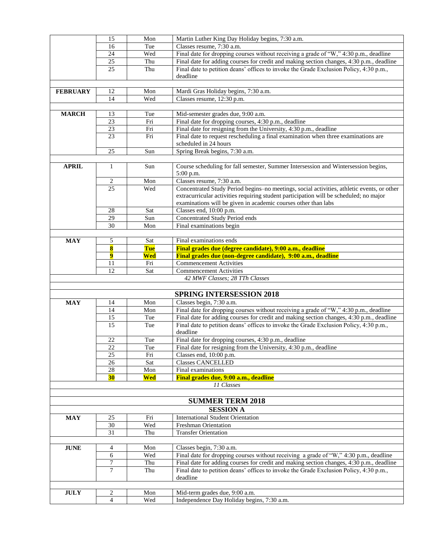|                 | 15                   | Mon        | Martin Luther King Day Holiday begins, 7:30 a.m.                                                                                                                                     |
|-----------------|----------------------|------------|--------------------------------------------------------------------------------------------------------------------------------------------------------------------------------------|
|                 | 16                   | Tue        | Classes resume, 7:30 a.m.                                                                                                                                                            |
|                 | 24                   | Wed        | Final date for dropping courses without receiving a grade of "W," 4:30 p.m., deadline                                                                                                |
|                 | 25                   | Thu        | Final date for adding courses for credit and making section changes, 4:30 p.m., deadline                                                                                             |
|                 | 25                   | Thu        | Final date to petition deans' offices to invoke the Grade Exclusion Policy, 4:30 p.m.,                                                                                               |
|                 |                      |            | deadline                                                                                                                                                                             |
|                 |                      |            |                                                                                                                                                                                      |
| <b>FEBRUARY</b> | 12                   | Mon        | Mardi Gras Holiday begins, 7:30 a.m.                                                                                                                                                 |
|                 | 14                   | Wed        | Classes resume, 12:30 p.m.                                                                                                                                                           |
|                 |                      |            |                                                                                                                                                                                      |
| <b>MARCH</b>    | 13                   | Tue        | Mid-semester grades due, 9:00 a.m.                                                                                                                                                   |
|                 | 23                   | Fri        | Final date for dropping courses, 4:30 p.m., deadline                                                                                                                                 |
|                 | 23                   | Fri        | Final date for resigning from the University, 4:30 p.m., deadline                                                                                                                    |
|                 | 23                   | Fri        | Final date to request rescheduling a final examination when three examinations are                                                                                                   |
|                 |                      |            | scheduled in 24 hours                                                                                                                                                                |
|                 | $25\,$               | Sun        | Spring Break begins, 7:30 a.m.                                                                                                                                                       |
|                 |                      |            |                                                                                                                                                                                      |
| <b>APRIL</b>    | $\mathbf{1}$         | Sun        | Course scheduling for fall semester, Summer Intersession and Wintersession begins,                                                                                                   |
|                 |                      | Mon        | 5:00 p.m.<br>Classes resume, 7:30 a.m.                                                                                                                                               |
|                 | 2<br>$\overline{25}$ | Wed        |                                                                                                                                                                                      |
|                 |                      |            | Concentrated Study Period begins-no meetings, social activities, athletic events, or other<br>extracurricular activities requiring student participation will be scheduled; no major |
|                 |                      |            | examinations will be given in academic courses other than labs                                                                                                                       |
|                 | 28                   | Sat        | Classes end, 10:00 p.m.                                                                                                                                                              |
|                 | 29                   | Sun        | <b>Concentrated Study Period ends</b>                                                                                                                                                |
|                 | 30                   | Mon        | Final examinations begin                                                                                                                                                             |
|                 |                      |            |                                                                                                                                                                                      |
| <b>MAY</b>      | 5                    | Sat        | Final examinations ends                                                                                                                                                              |
|                 | 8                    | <b>Tue</b> | Final grades due (degree candidate), 9:00 a.m., deadline                                                                                                                             |
|                 | $\overline{9}$       | Wed        | Final grades due (non-degree candidate), 9:00 a.m., deadline                                                                                                                         |
|                 | 11                   | Fri        | <b>Commencement Activities</b>                                                                                                                                                       |
|                 | 12                   | Sat        | <b>Commencement Activities</b>                                                                                                                                                       |
|                 |                      |            | 42 MWF Classes; 28 TTh Classes                                                                                                                                                       |
|                 |                      |            |                                                                                                                                                                                      |
|                 |                      |            | <b>SPRING INTERSESSION 2018</b>                                                                                                                                                      |
| <b>MAY</b>      | 14                   | Mon        | Classes begin, 7:30 a.m.                                                                                                                                                             |
|                 | 14                   | Mon        | Final date for dropping courses without receiving a grade of "W," 4:30 p.m., deadline                                                                                                |
|                 | 15                   | Tue        | Final date for adding courses for credit and making section changes, 4:30 p.m., deadline                                                                                             |
|                 | 15                   | Tue        | Final date to petition deans' offices to invoke the Grade Exclusion Policy, 4:30 p.m.,                                                                                               |
|                 |                      |            | deadline                                                                                                                                                                             |
|                 | 22                   | Tue        | Final date for dropping courses, 4:30 p.m., deadline                                                                                                                                 |
|                 | 22                   | Tue        | Final date for resigning from the University, 4:30 p.m., deadline                                                                                                                    |
|                 | 25                   | Fri        | Classes end, 10:00 p.m.                                                                                                                                                              |
|                 | 26                   | Sat        | <b>Classes CANCELLED</b>                                                                                                                                                             |
|                 | 28                   | Mon        | Final examinations                                                                                                                                                                   |
|                 |                      |            |                                                                                                                                                                                      |
|                 | <b>30</b>            | Wed        | Final grades due, 9:00 a.m., deadline                                                                                                                                                |
|                 |                      |            | 11 Classes                                                                                                                                                                           |
|                 |                      |            |                                                                                                                                                                                      |
|                 |                      |            | <b>SUMMER TERM 2018</b>                                                                                                                                                              |
|                 |                      |            | <b>SESSION A</b>                                                                                                                                                                     |
| <b>MAY</b>      | 25                   | Fri        | <b>International Student Orientation</b>                                                                                                                                             |
|                 | 30                   | Wed        | Freshman Orientation                                                                                                                                                                 |
|                 | $\overline{31}$      | Thu        | <b>Transfer Orientation</b>                                                                                                                                                          |
|                 |                      |            |                                                                                                                                                                                      |
| <b>JUNE</b>     | 4                    | Mon        | Classes begin, 7:30 a.m.                                                                                                                                                             |
|                 | 6                    | Wed        | Final date for dropping courses without receiving a grade of "W," 4:30 p.m., deadline                                                                                                |
|                 | 7                    | Thu        | Final date for adding courses for credit and making section changes, 4:30 p.m., deadline                                                                                             |
|                 | $\tau$               | Thu        | Final date to petition deans' offices to invoke the Grade Exclusion Policy, 4:30 p.m.,                                                                                               |
|                 |                      |            | deadline                                                                                                                                                                             |
|                 |                      |            |                                                                                                                                                                                      |
| <b>JULY</b>     | 2<br>$\overline{4}$  | Mon<br>Wed | Mid-term grades due, 9:00 a.m.<br>Independence Day Holiday begins, 7:30 a.m.                                                                                                         |